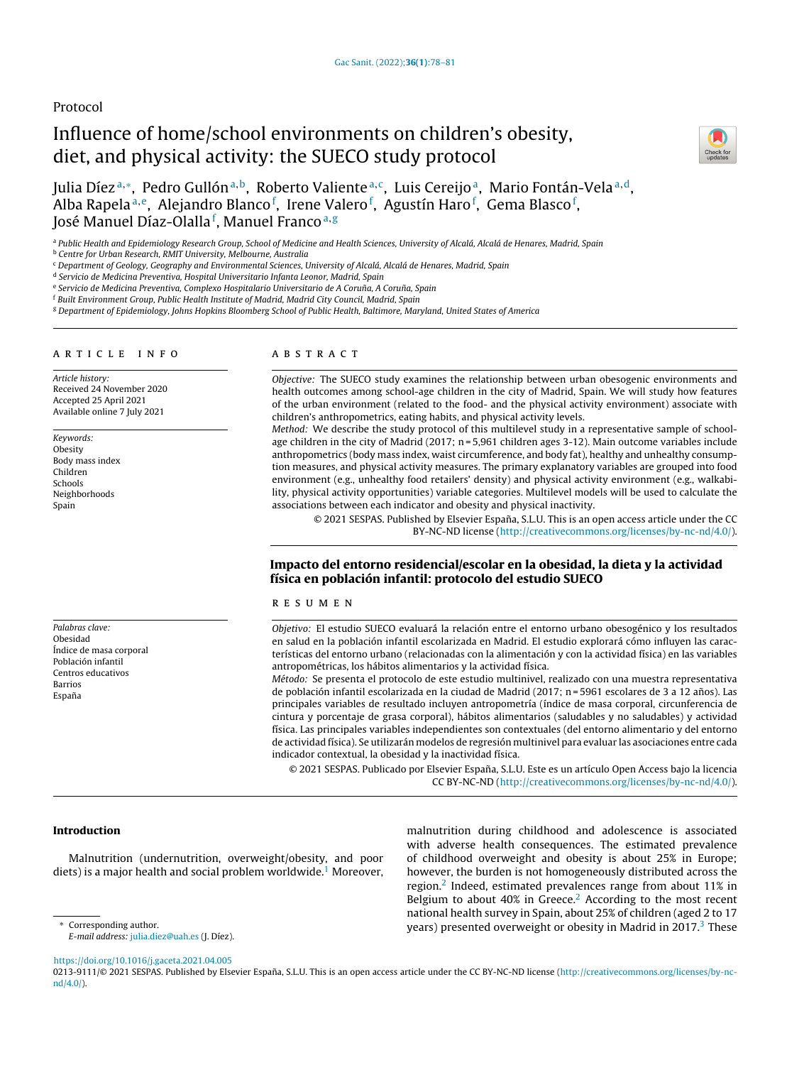## Protocol

# Influence of home/school environments on children's obesity, diet, and physical activity: the SUECO study protocol



Julia Díezª,\*, Pedro Gullónª,b, Roberto Valienteª,¢, Luis Cereijoª, Mario Fontán-Velaª,d, Alba Rapela<sup>a,e</sup>, Alejandro Blanco<sup>f</sup>, Irene Valero<sup>f</sup>, Agustín Haro<sup>f</sup>, Gema Blasco<sup>f</sup>, José Manuel Díaz-Olalla<sup>f</sup>, Manuel Franco<sup>a,g</sup>

a Public Health and Epidemiology Research Group, School of Medicine and Health Sciences, University of Alcalá, Alcalá de Henares, Madrid, Spain

**b** Centre for Urban Research, RMIT University, Melbourne, Australia

<sup>c</sup> Department of Geology, Geography and Environmental Sciences, University of Alcalá, Alcalá de Henares, Madrid, Spain

<sup>d</sup> Servicio de Medicina Preventiva, Hospital Universitario Infanta Leonor, Madrid, Spain

e Servicio de Medicina Preventiva, Complexo Hospitalario Universitario de A Coruña, A Coruña, Spain

<sup>f</sup> Built Environment Group, Public Health Institute of Madrid, Madrid City Council, Madrid, Spain

<sup>g</sup> Department of Epidemiology, Johns Hopkins Bloomberg School of Public Health, Baltimore, Maryland, United States of America

#### a r t i c l e i n f o

Article history: Received 24 November 2020 Accepted 25 April 2021 Available online 7 July 2021

Keywords: **Obesity** Body mass index Children Schools Neighborhoods Spain

Palabras clave: Obesidad Índice de masa corporal Población infantil Centros educativos Barrios Espana˜

## a b s t r a c t

Objective: The SUECO study examines the relationship between urban obesogenic environments and health outcomes among school-age children in the city of Madrid, Spain. We will study how features of the urban environment (related to the food- and the physical activity environment) associate with children's anthropometrics, eating habits, and physical activity levels.

Method: We describe the study protocol of this multilevel study in a representative sample of schoolage children in the city of Madrid (2017; n = 5,961 children ages 3-12). Main outcome variables include anthropometrics (body mass index, waist circumference, and body fat), healthy and unhealthy consumption measures, and physical activity measures. The primary explanatory variables are grouped into food environment (e.g., unhealthy food retailers' density) and physical activity environment (e.g., walkability, physical activity opportunities) variable categories. Multilevel models will be used to calculate the associations between each indicator and obesity and physical inactivity.

© 2021 SESPAS. Published by Elsevier España, S.L.U. This is an open access article under the CC BY-NC-ND license [\(http://creativecommons.org/licenses/by-nc-nd/4.0/](http://creativecommons.org/licenses/by-nc-nd/4.0/)).

## Impacto del entorno residencial/escolar en la obesidad, la dieta y la actividad física en población infantil: protocolo del estudio SUECO

## r e s u m e n

Objetivo: El estudio SUECO evaluará la relación entre el entorno urbano obesogénico y los resultados en salud en la población infantil escolarizada en Madrid. El estudio explorará cómo influyen las características del entorno urbano (relacionadas con la alimentación y con la actividad física) en las variables antropométricas, los hábitos alimentarios y la actividad física.

Método: Se presenta el protocolo de este estudio multinivel, realizado con una muestra representativa de población infantil escolarizada en la ciudad de Madrid (2017; n = 5961 escolares de 3 a 12 años). Las principales variables de resultado incluyen antropometría (índice de masa corporal, circunferencia de cintura y porcentaje de grasa corporal), hábitos alimentarios (saludables y no saludables) y actividad física. Las principales variables independientes son contextuales (del entorno alimentario y del entorno de actividad física). Se utilizarán modelos de regresión multinivel para evaluar las asociaciones entre cada indicador contextual, la obesidad y la inactividad física.

© 2021 SESPAS. Publicado por Elsevier España, S.L.U. Este es un artículo Open Access bajo la licencia CC BY-NC-ND [\(http://creativecommons.org/licenses/by-nc-nd/4.0/](http://creativecommons.org/licenses/by-nc-nd/4.0/)).

## Introduction

Malnutrition (undernutrition, overweight/obesity, and poor diets) is a major health and social problem worldwide.<sup>[1](#page-3-0)</sup> Moreover,

E-mail address: [julia.diez@uah.es](mailto:julia.diez@uah.es) (J. Díez).

malnutrition during childhood and adolescence is associated with adverse health consequences. The estimated prevalence of childhood overweight and obesity is about 25% in Europe; however, the burden is not homogeneously distributed across the region.<sup>[2](#page-3-0)</sup> Indeed, estimated prevalences range from about 11% in Belgium to about  $40\%$  in Greece.<sup>[2](#page-3-0)</sup> According to the most recent national health survey in Spain, about 25% of children (aged 2 to 17 years) presented overweight or obesity in Madrid in 2017. $3$  [T](#page-3-0)hese

<https://doi.org/10.1016/j.gaceta.2021.04.005>

0213-9111/© 2021 SESPAS. Published by Elsevier España, S.L.U. This is an open access article under the CC BY-NC-ND license [\(http://creativecommons.org/licenses/by-nc](http://creativecommons.org/licenses/by-nc-nd/4.0/)[nd/4.0/\)](http://creativecommons.org/licenses/by-nc-nd/4.0/).

<sup>∗</sup> Corresponding author.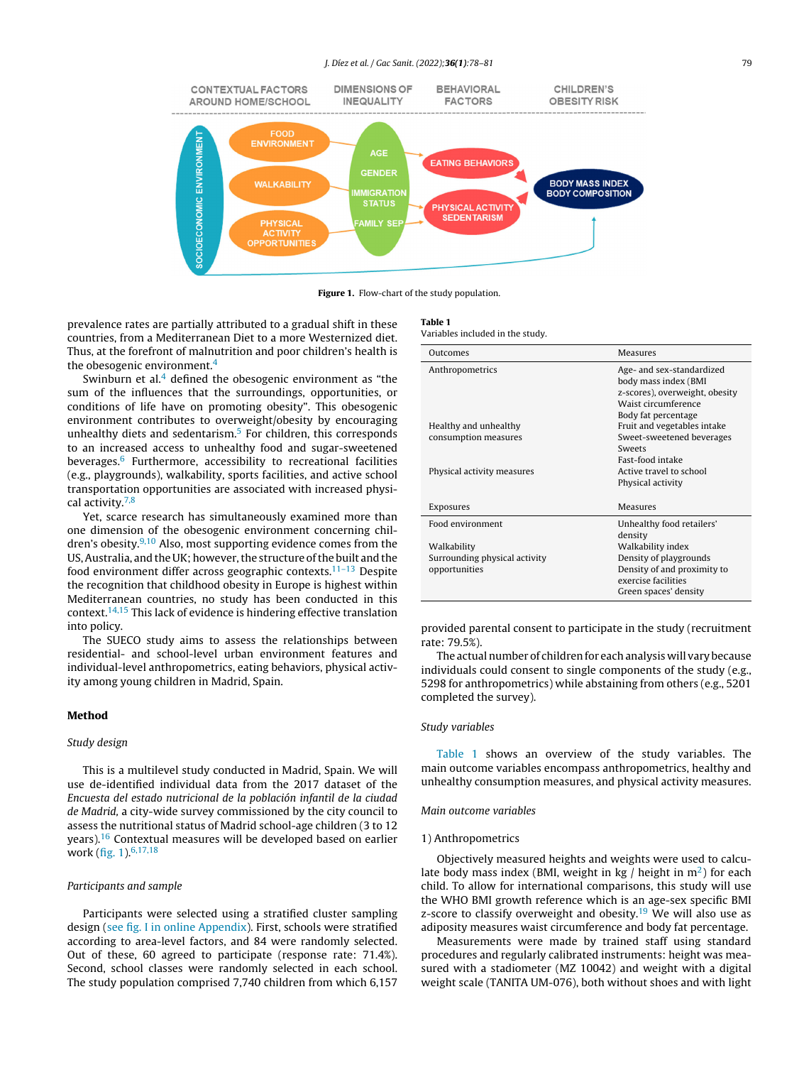#### J. Díez et al. / Gac Sanit. (2022); **36(1)**: 78–81 79

<span id="page-1-0"></span>

Figure 1. Flow-chart of the study population.

prevalence rates are partially attributed to a gradual shift in these countries, from a Mediterranean Diet to a more Westernized diet. Thus, at the forefront of malnutrition and poor children's health is the obesogenic environment.<sup>[4](#page-3-0)</sup>

Swinburn et al. $4$  defined the obesogenic environment as "the sum of the influences that the surroundings, opportunities, or conditions of life have on promoting obesity". This obesogenic environment contributes to overweight/obesity by encouraging unhealthy diets and sedentarism. $<sup>5</sup>$  $<sup>5</sup>$  $<sup>5</sup>$  For children, this corresponds</sup> to an increased access to unhealthy food and sugar-sweetened beverages.[6](#page-3-0) Furthermore, accessibility to recreational facilities (e.g., playgrounds), walkability, sports facilities, and active school transportation opportunities are associated with increased physical activity.[7,8](#page-3-0)

Yet, scarce research has simultaneously examined more than one dimension of the obesogenic environment concerning chil-dren's obesity.<sup>[9,10](#page-3-0)</sup> Also, most supporting evidence comes from the US, Australia, and the UK; however, the structure of the built and the food environment differ across geographic contexts. $11-13$  Despite the recognition that childhood obesity in Europe is highest within Mediterranean countries, no study has been conducted in this context.[14,15](#page-3-0) This lack of evidence is hindering effective translation into policy.

The SUECO study aims to assess the relationships between residential- and school-level urban environment features and individual-level anthropometrics, eating behaviors, physical activity among young children in Madrid, Spain.

#### Method

#### Study design

This is a multilevel study conducted in Madrid, Spain. We will use de-identified individual data from the 2017 dataset of the Encuesta del estado nutricional de la población infantil de la ciudad de Madrid, a city-wide survey commissioned by the city council to assess the nutritional status of Madrid school-age children (3 to 12 years).[16](#page-3-0) Contextual measures will be developed based on earlier work (fig. 1).<sup>[6,17,18](#page-3-0)</sup>

#### Participants and sample

Participants were selected using a stratified cluster sampling design [\(see](#page-3-0) [fig.](#page-3-0) I [in](#page-3-0) [online](#page-3-0) [Appendix\).](#page-3-0) First, schools were stratified according to area-level factors, and 84 were randomly selected. Out of these, 60 agreed to participate (response rate: 71.4%). Second, school classes were randomly selected in each school. The study population comprised 7,740 children from which 6,157

#### Table 1

Variables included in the study.

| Outcomes                      | Measures                                                                                                                          |
|-------------------------------|-----------------------------------------------------------------------------------------------------------------------------------|
| Anthropometrics               | Age- and sex-standardized<br>body mass index (BMI<br>z-scores), overweight, obesity<br>Waist circumference<br>Body fat percentage |
| Healthy and unhealthy         | Fruit and vegetables intake                                                                                                       |
| consumption measures          | Sweet-sweetened beverages<br><b>Sweets</b><br><b>Fast-food intake</b>                                                             |
| Physical activity measures    | Active travel to school                                                                                                           |
|                               | Physical activity                                                                                                                 |
| Exposures                     | Measures                                                                                                                          |
| Food environment              | Unhealthy food retailers'<br>density                                                                                              |
| Walkability                   | Walkability index                                                                                                                 |
| Surrounding physical activity | Density of playgrounds                                                                                                            |
| opportunities                 | Density of and proximity to<br>exercise facilities                                                                                |
|                               | Green spaces' density                                                                                                             |

provided parental consent to participate in the study (recruitment rate: 79.5%).

The actual number of children for each analysis will vary because individuals could consent to single components of the study (e.g., 5298 for anthropometrics) while abstaining from others (e.g., 5201 completed the survey).

#### Study variables

Table 1 shows an overview of the study variables. The main outcome variables encompass anthropometrics, healthy and unhealthy consumption measures, and physical activity measures.

#### Main outcome variables

## 1) Anthropometrics

Objectively measured heights and weights were used to calculate body mass index (BMI, weight in kg / height in  $m<sup>2</sup>$ [\)](#page-3-0) for each child. To allow for international comparisons, this study will use the WHO BMI growth reference which is an age-sex specific BMI z-score to classify overweight and obesity.<sup>[19](#page-3-0)</sup> We will also use as adiposity measures waist circumference and body fat percentage.

Measurements were made by trained staff using standard procedures and regularly calibrated instruments: height was measured with a stadiometer (MZ 10042) and weight with a digital weight scale (TANITA UM-076), both without shoes and with light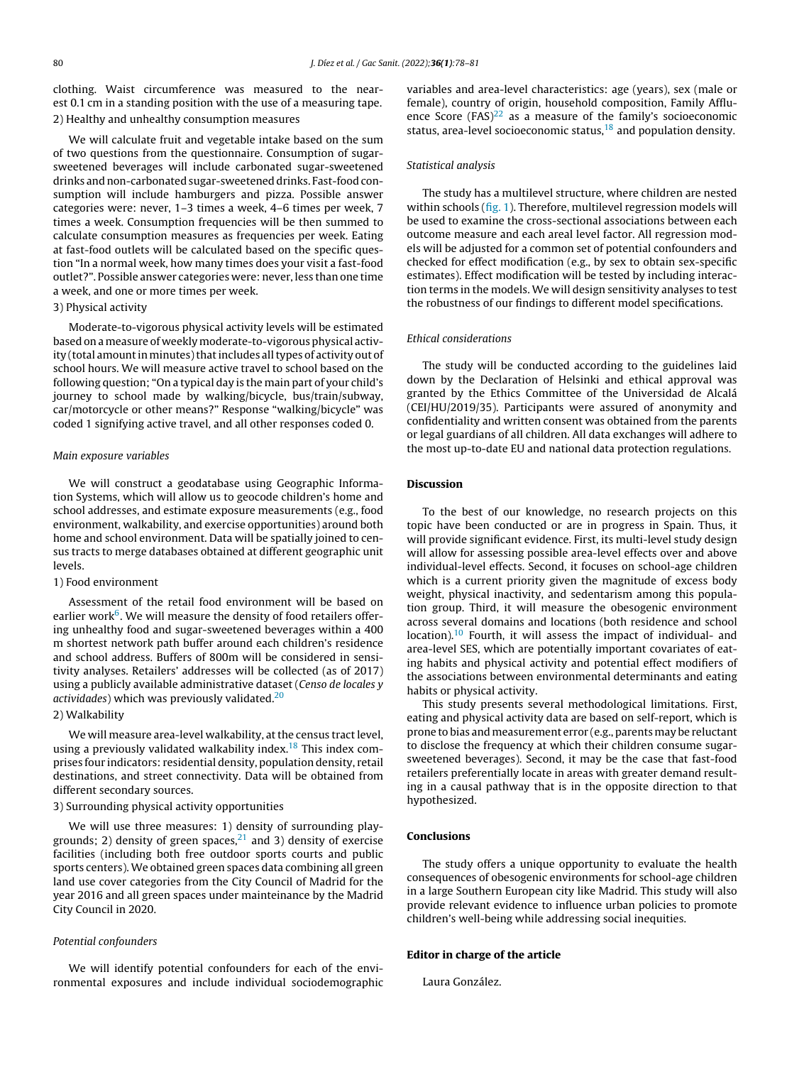clothing. Waist circumference was measured to the nearest 0.1 cm in a standing position with the use of a measuring tape. 2) Healthy and unhealthy consumption measures

We will calculate fruit and vegetable intake based on the sum of two questions from the questionnaire. Consumption of sugarsweetened beverages will include carbonated sugar-sweetened drinks and non-carbonated sugar-sweetened drinks. Fast-food consumption will include hamburgers and pizza. Possible answer categories were: never, 1–3 times a week, 4–6 times per week, 7 times a week. Consumption frequencies will be then summed to calculate consumption measures as frequencies per week. Eating at fast-food outlets will be calculated based on the specific question "In a normal week, how many times does your visit a fast-food outlet?". Possible answer categories were: never, less than one time a week, and one or more times per week.

## 3) Physical activity

Moderate-to-vigorous physical activity levels will be estimated based on ameasure of weeklymoderate-to-vigorous physical activity (total amount in minutes) that includes all types of activity out of school hours. We will measure active travel to school based on the following question; "On a typical day is the main part of your child's journey to school made by walking/bicycle, bus/train/subway, car/motorcycle or other means?" Response "walking/bicycle" was coded 1 signifying active travel, and all other responses coded 0.

#### Main exposure variables

We will construct a geodatabase using Geographic Information Systems, which will allow us to geocode children's home and school addresses, and estimate exposure measurements (e.g., food environment, walkability, and exercise opportunities) around both home and school environment. Data will be spatially joined to census tracts to merge databases obtained at different geographic unit levels.

## 1) Food environment

Assessment of the retail food environment will be based on earlier work<sup>[6](#page-3-0)</sup>. We will measure the density of food retailers offering unhealthy food and sugar-sweetened beverages within a 400 m shortest network path buffer around each children's residence and school address. Buffers of 800m will be considered in sensitivity analyses. Retailers' addresses will be collected (as of 2017) using a publicly available administrative dataset (Censo de locales y actividades) which was previously validated.[20](#page-3-0)

## 2) Walkability

We will measure area-level walkability, at the census tract level, using a previously validated walkability index.<sup>[18](#page-3-0)</sup> This index comprises four indicators: residential density, population density, retail destinations, and street connectivity. Data will be obtained from different secondary sources.

## 3) Surrounding physical activity opportunities

We will use three measures: 1) density of surrounding playgrounds; 2) density of green spaces, $^{21}$  $^{21}$  $^{21}$  and 3) density of exercise facilities (including both free outdoor sports courts and public sports centers). We obtained green spaces data combining all green land use cover categories from the City Council of Madrid for the year 2016 and all green spaces under mainteinance by the Madrid City Council in 2020.

### Potential confounders

We will identify potential confounders for each of the environmental exposures and include individual sociodemographic variables and area-level characteristics: age (years), sex (male or female), country of origin, household composition, Family Affluence Score (FAS) $^{22}$  $^{22}$  $^{22}$  as a measure of the family's socioeconomic status, area-level socioeconomic status,<sup>[18](#page-3-0)</sup> and population density.

## Statistical analysis

The study has a multilevel structure, where children are nested within schools [\(fig.](#page-1-0) 1). Therefore, multilevel regression models will be used to examine the cross-sectional associations between each outcome measure and each areal level factor. All regression models will be adjusted for a common set of potential confounders and checked for effect modification (e.g., by sex to obtain sex-specific estimates). Effect modification will be tested by including interaction terms in the models. We will design sensitivity analyses to test the robustness of our findings to different model specifications.

#### Ethical considerations

The study will be conducted according to the guidelines laid down by the Declaration of Helsinki and ethical approval was granted by the Ethics Committee of the Universidad de Alcalá (CEI/HU/2019/35). Participants were assured of anonymity and confidentiality and written consent was obtained from the parents or legal guardians of all children. All data exchanges will adhere to the most up-to-date EU and national data protection regulations.

## Discussion

To the best of our knowledge, no research projects on this topic have been conducted or are in progress in Spain. Thus, it will provide significant evidence. First, its multi-level study design will allow for assessing possible area-level effects over and above individual-level effects. Second, it focuses on school-age children which is a current priority given the magnitude of excess body weight, physical inactivity, and sedentarism among this population group. Third, it will measure the obesogenic environment across several domains and locations (both residence and school location).<sup>[10](#page-3-0)</sup> Fourth, it will assess the impact of individual- and area-level SES, which are potentially important covariates of eating habits and physical activity and potential effect modifiers of the associations between environmental determinants and eating habits or physical activity.

This study presents several methodological limitations. First, eating and physical activity data are based on self-report, which is prone to bias and measurement error (e.g., parents may be reluctant to disclose the frequency at which their children consume sugarsweetened beverages). Second, it may be the case that fast-food retailers preferentially locate in areas with greater demand resulting in a causal pathway that is in the opposite direction to that hypothesized.

## Conclusions

The study offers a unique opportunity to evaluate the health consequences of obesogenic environments for school-age children in a large Southern European city like Madrid. This study will also provide relevant evidence to influence urban policies to promote children's well-being while addressing social inequities.

## Editor in charge of the article

Laura González.